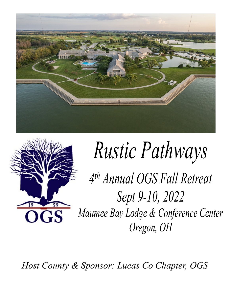



# *Rustic Pathways*

*4 th Annual OGS Fall Retreat Sept 9-10, 2022 Maumee Bay Lodge & Conference Center Oregon, OH*

*Host County & Sponsor: Lucas Co Chapter, OGS*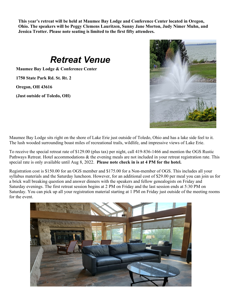**This year's retreat will be held at Maumee Bay Lodge and Conference Center located in Oregon, Ohio. The speakers will be Peggy Clemens Lauritzen, Sunny Jane Morton, Judy Nimer Muhn, and Jessica Trotter. Please note seating is limited to the first fifty attendees.**

## *Retreat Venue*

**Maumee Bay Lodge & Conference Center**

**1750 State Park Rd. St. Rt. 2**

**Oregon, OH 43616**

**(Just outside of Toledo, OH)**



Maumee Bay Lodge sits right on the shore of Lake Erie just outside of Toledo, Ohio and has a lake side feel to it. The lush wooded surrounding boast miles of recreational trails, wildlife, and impressive views of Lake Erie.

To receive the special retreat rate of \$129.00 (plus tax) per night, call 419-836-1466 and mention the OGS Rustic Pathways Retreat. Hotel accommodations & the evening meals are not included in your retreat registration rate. This special rate is only available until Aug 8, 2022. **Please note check in is at 4 PM for the hotel.**

Registration cost is \$150.00 for an OGS member and \$175.00 for a Non-member of OGS. This includes all your syllabus materials and the Saturday luncheon. However, for an additional cost of \$29.00 per meal you can join us for a brick wall breaking question and answer dinners with the speakers and fellow genealogists on Friday and Saturday evenings. The first retreat session begins at 2 PM on Friday and the last session ends at 5:30 PM on Saturday. You can pick up all your registration material starting at 1 PM on Friday just outside of the meeting rooms for the event.

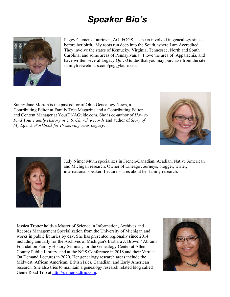# *Speaker Bio's*



Peggy Clemens Lauritzen, AG, FOGS has been involved in genealogy since before her birth. My roots run deep into the South, where I am Accredited. They involve the states of Kentucky, Virginia, Tennessee, North and South Carolina, and some areas of Pennsylvania. I love the area of Appalachia, and have written several Legacy QuickGuides that you may purchase from the site: familytreewebinars.com/peggylauritzen.

Sunny Jane Morton is the past editor of Ohio Genealogy News, a Contributing Editor at Family Tree Magazine and a Contributing Editor and Content Manager at YourDNAGuide.com. She is co-author of *How to Find Your Family History in U.S. Church Records* and author of *Story of My Life: A Workbook for Preserving Your Legacy*.





Judy Nimer Muhn specializes in French-Canadian, Acadian, Native American and Michigan research. Owner of Lineage Journeys, blogger, writer, international speaker. Lecture shares about her family research.

Jessica Trotter holds a Master of Science in Information, Archives and Records Management Specialization from the University of Michigan and works in public libraries by day. She has presented regionally since 2014 including annually for the Archives of Michigan's Barbara J. Brown / Abrams Foundation Family History Seminar, for the Genealogy Center at Allen County Public Library, and at the NGS Conference in 2018 and their Virtual On Demand Lectures in 2020. Her genealogy research areas include the Midwest, African American, British Isles, Canadian, and Early American research. She also tries to maintain a genealogy research related blog called Genie Road Trip at http://genieroadtrip.com.

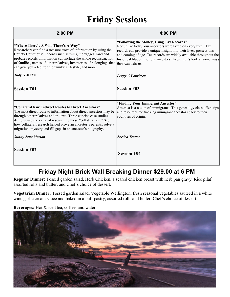# **Friday Sessions**

| $2:00$ PM                                                                                                                                                                                                                                                                                                                                                                                                | 4:00 PM                                                                                                                                                                                                                                                                                                                                             |
|----------------------------------------------------------------------------------------------------------------------------------------------------------------------------------------------------------------------------------------------------------------------------------------------------------------------------------------------------------------------------------------------------------|-----------------------------------------------------------------------------------------------------------------------------------------------------------------------------------------------------------------------------------------------------------------------------------------------------------------------------------------------------|
| "Where There's A Will, There's A Way"<br>Researchers can find a treasure trove of information by using the<br>County Courthouse Records such as wills, mortgages, land and<br>probate records. Information can include the whole reconstruction<br>of families, names of other relatives, inventories of belongings that<br>can give you a feel for the family's lifestyle, and more.                    | "Following the Money, Using Tax Records"<br>Not unlike today, our ancestors were taxed on every turn. Tax<br>records can provide a unique insight into their lives, possessions<br>and coming of age. Tax records are widely available throughout the<br>historical blueprint of our ancestors' lives. Let's look at some ways<br>they can help us. |
| <b>Judy N Muhn</b>                                                                                                                                                                                                                                                                                                                                                                                       | <b>Peggy C Lauritzen</b>                                                                                                                                                                                                                                                                                                                            |
| <b>Session F01</b>                                                                                                                                                                                                                                                                                                                                                                                       | <b>Session F03</b>                                                                                                                                                                                                                                                                                                                                  |
| "Collateral Kin: Indirect Routes to Direct Ancestors"<br>The most direct route to information about direct ancestors may be<br>through other relatives and in-laws. Three concise case studies<br>demonstrate the value of researching these "collateral kin." See<br>how collateral research helped prove an ancestor's parents, solve a<br>migration mystery and fill gaps in an ancestor's biography. | "Finding Your Immigrant Ancestor"<br>America is a nation of immigrants. This genealogy class offers tips<br>and resources for tracking immigrant ancestors back to their<br>countries of origin.                                                                                                                                                    |
| <b>Sunny Jane Morton</b>                                                                                                                                                                                                                                                                                                                                                                                 | <b>Jessica Trotter</b>                                                                                                                                                                                                                                                                                                                              |
| <b>Session F02</b>                                                                                                                                                                                                                                                                                                                                                                                       | <b>Session F04</b>                                                                                                                                                                                                                                                                                                                                  |

## **Friday Night Brick Wall Breaking Dinner \$29.00 at 6 PM**

**Regular Dinner:** Tossed garden salad, Herb Chicken, a seared chicken breast with herb pan gravy. Rice pilaf, assorted rolls and butter, and Chef's choice of dessert.

**Vegetarian Dinner:** Tossed garden salad, Vegetable Wellington, fresh seasonal vegetables sauteed in a white wine garlic cream sauce and baked in a puff pastry, assorted rolls and butter, Chef's choice of dessert.

**Beverages:** Hot & iced tea, coffee, and water

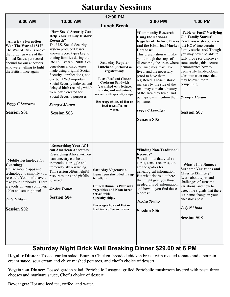## **Saturday Sessions**

|                                                                                                                                                                                                                                                                     | 12:00 PM                                                                                                                                                                                                                                                                                                                                                                                                                                                                                                         |                                                                                                                                                                                                                                                                                      |                                                                                                                                                                                                                                                                                                                                                                                                                                                                                                                                                                                                      |                                                                                                                                                                                                                                                                                             |  |
|---------------------------------------------------------------------------------------------------------------------------------------------------------------------------------------------------------------------------------------------------------------------|------------------------------------------------------------------------------------------------------------------------------------------------------------------------------------------------------------------------------------------------------------------------------------------------------------------------------------------------------------------------------------------------------------------------------------------------------------------------------------------------------------------|--------------------------------------------------------------------------------------------------------------------------------------------------------------------------------------------------------------------------------------------------------------------------------------|------------------------------------------------------------------------------------------------------------------------------------------------------------------------------------------------------------------------------------------------------------------------------------------------------------------------------------------------------------------------------------------------------------------------------------------------------------------------------------------------------------------------------------------------------------------------------------------------------|---------------------------------------------------------------------------------------------------------------------------------------------------------------------------------------------------------------------------------------------------------------------------------------------|--|
| 8:00 AM                                                                                                                                                                                                                                                             | 10:00 AM                                                                                                                                                                                                                                                                                                                                                                                                                                                                                                         | <b>Lunch Break</b>                                                                                                                                                                                                                                                                   | 2:00 PM                                                                                                                                                                                                                                                                                                                                                                                                                                                                                                                                                                                              | 4:00 PM                                                                                                                                                                                                                                                                                     |  |
| "America's Forgotten<br>War-The War of 1812"<br>The War of 1812 is one of<br>the forgotten wars of the<br>United States, yet records<br>abound for our ancestors<br>who were willing to fight<br>the British once again.<br>Peggy C Lauritzen<br><b>Session S01</b> | "How Social Security Can<br><b>Help Your Family History</b><br>Research"<br>The U.S. Social Security<br>system produced lesser<br>known record types key to<br>tracing families during the<br>late 1800s/early 1900s. See<br>genealogical discoveries<br>made using original Social<br>Security applications, not<br>one but TWO important<br>Social Security indexes, and<br>delayed birth records, which<br>were often created for<br>Social Security purposes.<br><b>Sunny J Morton</b><br><b>Session S03</b> | <b>Saturday Regular</b><br>Luncheon (included in<br>registration):<br><b>Roast Beef and Cheese</b><br><b>Croissant Sandwich</b><br>(garnished with lettuce,<br>tomato, and red onion),<br>served with specialty chips.<br>Beverage choice of Hot or<br>Iced tea,coffee, or<br>water. | "Community Research<br><b>Using the National</b><br>Register of Historic Places Don't you wish you knew<br>and the Historical Marker just HOW true certain<br>Database"<br>This presentation will take<br>you through the steps of<br>discovering the areas where some stories, this lecture<br>you ancestors may have<br>lived, and the necessary<br>proof to have them<br>registered. Those historic<br>markers by the side of the<br>road may contain a history<br>of the area they lived, and<br>perhaps even mention them Sunny J Morton<br>by name.<br>Peggy C Lauritzen<br><b>Session S05</b> | "Fable or Fact? Verifying<br><b>Old Family Stories"</b><br>family stories are? Though<br>you may never be able to<br>fully prove (or disprove)<br>demonstrates how to<br>de-mystify handed-down<br>tales into truer ones that<br>may be even more<br>compelling.<br><b>Session S07</b>      |  |
| "Mobile Technology for<br>Genealogy"<br>Utilize mobile apps and<br>technology to simplify your<br>research. You don't have to<br>take your notebooks! There<br>are tools on your computer,<br>tablet and smart phone!<br><b>Judy N Muhn</b><br><b>Session S02</b>   | "Researching Your Afri-<br>can American Ancestors"<br>Researching African-Amer-<br>ican ancestry can be a<br>tremendous struggle and<br>tremendously rewarding.<br>This session offers helpful<br>resources, tips and pitfalls<br>to avoid.<br>Jessica Trotter<br><b>Session S04</b>                                                                                                                                                                                                                             | <b>Saturday Vegetarian</b><br>Luncheon (included in reg-<br>istration):<br><b>Chilled Hummus Plate with</b><br>vegetables and Naan Bread,<br>served with<br>specialty chips.<br>Beverage choice of Hot or<br>Iced tea, coffee, or water.                                             | "Finding Non-Traditional<br>Records"<br>We all know that vital re-<br>cords, census records, etc.<br>are the go-to's for<br>genealogical information.<br>But what else is out there<br>that might give you those<br>needed bits of information,<br>and how do you find those<br>records?<br><b>Jessica Trotter</b><br><b>Session S06</b>                                                                                                                                                                                                                                                             | "What's In a Name?:<br><b>Surname Variations and</b><br><b>Clues to Ethnicity"</b><br>Learn about types and<br>challenges of surname<br>variations, and how to<br>detect the signals that there<br>is a name change in your<br>ancestor's past.<br><b>Judy N Muhn</b><br><b>Session S08</b> |  |

## **Saturday Night Brick Wall Breaking Dinner \$29.00 at 6 PM**

**Regular Dinner:** Tossed garden salad, Boursin Chicken, breaded chicken breast with roasted tomato and a boursin cream sauce, sour cream and chive mashed potatoes, and chef's choice of dessert.

**Vegetarian Dinner:** Tossed garden salad, Portobello Lasagna, grilled Portobello mushroom layered with pasta three cheeses and marinara sauce, Chef's choice of dessert.

**Beverages:** Hot and iced tea, coffee, and water.